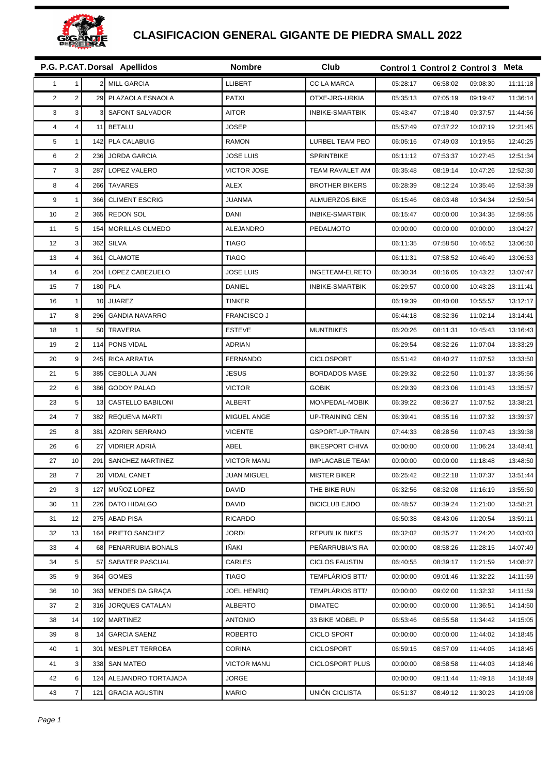

## **CLASIFICACION GENERAL GIGANTE DE PIEDRA SMALL 2022**

|                |                         |     | P.G. P.CAT. Dorsal Apellidos | Nombre             | Club                   |          | Control 1 Control 2 Control 3 Meta |          |          |
|----------------|-------------------------|-----|------------------------------|--------------------|------------------------|----------|------------------------------------|----------|----------|
| 1              | $\mathbf{1}$            | 2   | <b>MILL GARCIA</b>           | <b>LLIBERT</b>     | <b>CC LA MARCA</b>     | 05:28:17 | 06:58:02                           | 09:08:30 | 11:11:18 |
| $\overline{2}$ | $\overline{2}$          | 29  | PLAZAOLA ESNAOLA             | <b>PATXI</b>       | OTXE-JRG-URKIA         | 05:35:13 | 07:05:19                           | 09:19:47 | 11:36:14 |
| 3              | 3                       |     | SAFONT SALVADOR              | <b>AITOR</b>       | <b>INBIKE-SMARTBIK</b> | 05:43:47 | 07:18:40                           | 09:37:57 | 11:44:56 |
| $\overline{4}$ | $\overline{4}$          | 11  | <b>BETALU</b>                | <b>JOSEP</b>       |                        | 05:57:49 | 07:37:22                           | 10:07:19 | 12:21:45 |
| 5              | $\mathbf{1}$            | 142 | PLA CALABUIG                 | <b>RAMON</b>       | LURBEL TEAM PEO        | 06:05:16 | 07:49:03                           | 10:19:55 | 12:40:25 |
| 6              | $\overline{\mathbf{c}}$ | 236 | <b>JORDA GARCIA</b>          | <b>JOSE LUIS</b>   | <b>SPRINTBIKE</b>      | 06:11:12 | 07:53:37                           | 10:27:45 | 12:51:34 |
| $\overline{7}$ | 3                       | 287 | LOPEZ VALERO                 | <b>VICTOR JOSE</b> | TEAM RAVALET AM        | 06:35:48 | 08:19:14                           | 10:47:26 | 12:52:30 |
| 8              | $\overline{4}$          | 266 | <b>TAVARES</b>               | <b>ALEX</b>        | <b>BROTHER BIKERS</b>  | 06:28:39 | 08:12:24                           | 10:35:46 | 12:53:39 |
| 9              | $\mathbf{1}$            | 366 | <b>CLIMENT ESCRIG</b>        | JUANMA             | <b>ALMUERZOS BIKE</b>  | 06:15:46 | 08:03:48                           | 10:34:34 | 12:59:54 |
| 10             | $\overline{2}$          | 365 | <b>REDON SOL</b>             | <b>DANI</b>        | <b>INBIKE-SMARTBIK</b> | 06:15:47 | 00:00:00                           | 10:34:35 | 12:59:55 |
| 11             | 5                       | 154 | MORILLAS OLMEDO              | ALEJANDRO          | PEDALMOTO              | 00:00:00 | 00:00:00                           | 00:00:00 | 13:04:27 |
| 12             | 3                       | 362 | <b>SILVA</b>                 | <b>TIAGO</b>       |                        | 06:11:35 | 07:58:50                           | 10:46:52 | 13:06:50 |
| 13             | $\overline{4}$          | 361 | <b>CLAMOTE</b>               | <b>TIAGO</b>       |                        | 06:11:31 | 07:58:52                           | 10:46:49 | 13:06:53 |
| 14             | 6                       | 204 | LOPEZ CABEZUELO              | <b>JOSE LUIS</b>   | <b>INGETEAM-ELRETO</b> | 06:30:34 | 08:16:05                           | 10:43:22 | 13:07:47 |
| 15             | $\overline{7}$          | 180 | <b>PLA</b>                   | <b>DANIEL</b>      | <b>INBIKE-SMARTBIK</b> | 06:29:57 | 00:00:00                           | 10:43:28 | 13:11:41 |
| 16             | $\mathbf{1}$            | 10  | <b>JUAREZ</b>                | <b>TINKER</b>      |                        | 06:19:39 | 08:40:08                           | 10:55:57 | 13:12:17 |
| 17             | 8                       | 296 | <b>GANDIA NAVARRO</b>        | <b>FRANCISCO J</b> |                        | 06:44:18 | 08:32:36                           | 11:02:14 | 13:14:41 |
| 18             | $\mathbf{1}$            | 50  | TRAVERIA                     | <b>ESTEVE</b>      | <b>MUNTBIKES</b>       | 06:20:26 | 08:11:31                           | 10:45:43 | 13:16:43 |
| 19             | $\overline{2}$          | 114 | PONS VIDAL                   | <b>ADRIAN</b>      |                        | 06:29:54 | 08:32:26                           | 11:07:04 | 13:33:29 |
| 20             | 9                       | 245 | <b>RICA ARRATIA</b>          | <b>FERNANDO</b>    | <b>CICLOSPORT</b>      | 06:51:42 | 08:40:27                           | 11:07:52 | 13:33:50 |
| 21             | 5                       | 385 | <b>CEBOLLA JUAN</b>          | <b>JESUS</b>       | <b>BORDADOS MASE</b>   | 06:29:32 | 08:22:50                           | 11:01:37 | 13:35:56 |
| 22             | 6                       | 386 | <b>GODOY PALAO</b>           | <b>VICTOR</b>      | <b>GOBIK</b>           | 06:29:39 | 08:23:06                           | 11:01:43 | 13:35:57 |
| 23             | 5                       | 13  | CASTELLO BABILONI            | <b>ALBERT</b>      | MONPEDAL-MOBIK         | 06:39:22 | 08:36:27                           | 11:07:52 | 13:38:21 |
| 24             | $\overline{7}$          | 382 | <b>REQUENA MARTI</b>         | MIGUEL ANGE        | <b>UP-TRAINING CEN</b> | 06:39:41 | 08:35:16                           | 11:07:32 | 13:39:37 |
| 25             | 8                       | 381 | <b>AZORIN SERRANO</b>        | <b>VICENTE</b>     | <b>GSPORT-UP-TRAIN</b> | 07:44:33 | 08:28:56                           | 11:07:43 | 13:39:38 |
| 26             | 6                       | 27  | VIDRIER ADRIÀ                | ABEL               | <b>BIKESPORT CHIVA</b> | 00:00:00 | 00:00:00                           | 11:06:24 | 13:48:41 |
| 27             | 10                      | 291 | SANCHEZ MARTINEZ             | <b>VICTOR MANU</b> | <b>IMPLACABLE TEAM</b> | 00:00:00 | 00:00:00                           | 11:18:48 | 13:48:50 |
| 28             | 7 <sup>1</sup>          | 20  | <b>VIDAL CANET</b>           | <b>JUAN MIGUEL</b> | <b>MISTER BIKER</b>    | 06:25:42 | 08:22:18                           | 11:07:37 | 13:51:44 |
| 29             | 3                       | 127 | MUÑOZ LOPEZ                  | <b>DAVID</b>       | THE BIKE RUN           | 06:32:56 | 08:32:08                           | 11:16:19 | 13:55:50 |
| 30             | 11                      |     | 226 DATO HIDALGO             | DAVID              | <b>BICICLUB EJIDO</b>  | 06:48:57 | 08:39:24                           | 11:21:00 | 13:58:21 |
| 31             | 12                      | 275 | <b>ABAD PISA</b>             | <b>RICARDO</b>     |                        | 06:50:38 | 08:43:06                           | 11:20:54 | 13:59:11 |
| 32             | 13                      | 164 | PRIETO SANCHEZ               | <b>JORDI</b>       | <b>REPUBLIK BIKES</b>  | 06:32:02 | 08:35:27                           | 11:24:20 | 14:03:03 |
| 33             | $\overline{4}$          | 68  | PENARRUBIA BONALS            | IÑAKI              | PEÑARRUBIA'S RA        | 00:00:00 | 08:58:26                           | 11:28:15 | 14:07:49 |
| 34             | 5                       | 57  | SABATER PASCUAL              | CARLES             | <b>CICLOS FAUSTIN</b>  | 06:40:55 | 08:39:17                           | 11:21:59 | 14:08:27 |
| 35             | 9                       | 364 | GOMES                        | <b>TIAGO</b>       | TEMPLÁRIOS BTT/        | 00:00:00 | 09:01:46                           | 11:32:22 | 14:11:59 |
| 36             | 10                      | 363 | MENDES DA GRAÇA              | <b>JOEL HENRIQ</b> | TEMPLARIOS BTT/        | 00:00:00 | 09:02:00                           | 11:32:32 | 14:11:59 |
| 37             | $\overline{2}$          | 316 | JORQUES CATALAN              | <b>ALBERTO</b>     | <b>DIMATEC</b>         | 00:00:00 | 00:00:00                           | 11:36:51 | 14:14:50 |
| 38             | 14                      | 192 | MARTINEZ                     | <b>ANTONIO</b>     | 33 BIKE MOBEL P        | 06:53:46 | 08:55:58                           | 11:34:42 | 14:15:05 |
| 39             | 8                       | 14  | <b>GARCIA SAENZ</b>          | <b>ROBERTO</b>     | <b>CICLO SPORT</b>     | 00:00:00 | 00:00:00                           | 11:44:02 | 14:18:45 |
| 40             | $\mathbf{1}$            | 301 | <b>MESPLET TERROBA</b>       | <b>CORINA</b>      | <b>CICLOSPORT</b>      | 06:59:15 | 08:57:09                           | 11:44:05 | 14:18:45 |
| 41             | 3                       | 338 | SAN MATEO                    | <b>VICTOR MANU</b> | <b>CICLOSPORT PLUS</b> | 00:00:00 | 08:58:58                           | 11:44:03 | 14:18:46 |
| 42             | 6                       | 124 | ALEJANDRO TORTAJADA          | <b>JORGE</b>       |                        | 00:00:00 | 09:11:44                           | 11:49:18 | 14:18:49 |
| 43             | $\overline{7}$          | 121 | <b>GRACIA AGUSTIN</b>        | <b>MARIO</b>       | UNIÓN CICLISTA         | 06:51:37 | 08:49:12                           | 11:30:23 | 14:19:08 |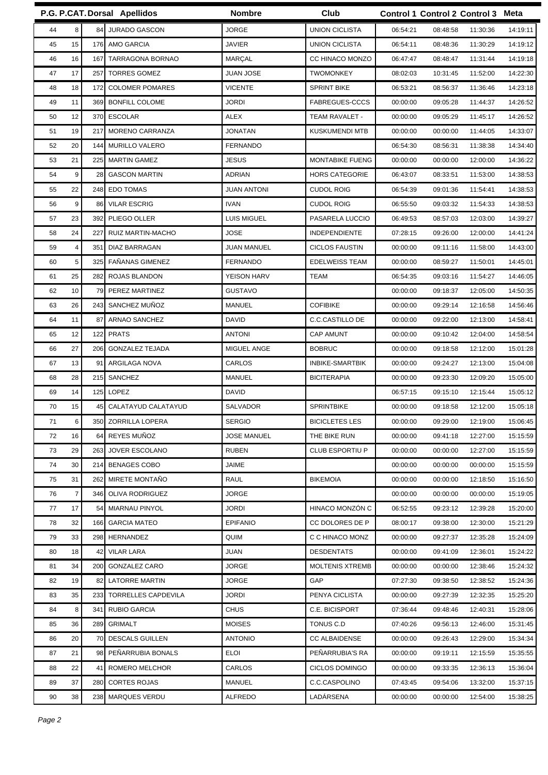|    |                |            | P.G. P.CAT. Dorsal Apellidos | <b>Nombre</b>      | Club                   |          | Control 1 Control 2 Control 3 Meta |          |
|----|----------------|------------|------------------------------|--------------------|------------------------|----------|------------------------------------|----------|
| 44 | 8              |            | 84 JURADO GASCON             | <b>JORGE</b>       | <b>UNION CICLISTA</b>  | 06:54:21 | 08:48:58<br>11:30:36               | 14:19:11 |
| 45 | 15             |            | 176 AMO GARCIA               | <b>JAVIER</b>      | <b>UNION CICLISTA</b>  | 06:54:11 | 08:48:36<br>11:30:29               | 14:19:12 |
| 46 | 16             | 167        | TARRAGONA BORNAO             | <b>MARÇAL</b>      | CC HINACO MONZO        | 06:47:47 | 08:48:47<br>11:31:44               | 14:19:18 |
| 47 | 17             | 257        | <b>TORRES GOMEZ</b>          | JUAN JOSE          | <b>TWOMONKEY</b>       | 08:02:03 | 10:31:45<br>11:52:00               | 14:22:30 |
| 48 | 18             | 172        | <b>COLOMER POMARES</b>       | <b>VICENTE</b>     | <b>SPRINT BIKE</b>     | 06:53:21 | 08:56:37<br>11:36:46               | 14:23:18 |
| 49 | 11             |            | 369 BONFILL COLOME           | <b>JORDI</b>       | FABREGUES-CCCS         | 00:00:00 | 09:05:28<br>11:44:37               | 14:26:52 |
| 50 | 12             | 370        | <b>ESCOLAR</b>               | <b>ALEX</b>        | TEAM RAVALET -         | 00:00:00 | 09:05:29<br>11:45:17               | 14:26:52 |
| 51 | 19             | 217        | MORENO CARRANZA              | <b>JONATAN</b>     | <b>KUSKUMENDI MTB</b>  | 00:00:00 | 00:00:00<br>11:44:05               | 14:33:07 |
| 52 | 20             | 144        | <b>MURILLO VALERO</b>        | <b>FERNANDO</b>    |                        | 06:54:30 | 08:56:31<br>11:38:38               | 14:34:40 |
| 53 | 21             | 225        | <b>MARTIN GAMEZ</b>          | JESUS              | MONTABIKE FUENG        | 00:00:00 | 00:00:00<br>12:00:00               | 14:36:22 |
| 54 | 9              | 28         | <b>GASCON MARTIN</b>         | <b>ADRIAN</b>      | <b>HORS CATEGORIE</b>  | 06:43:07 | 08:33:51<br>11:53:00               | 14:38:53 |
| 55 | 22             |            | 248 EDO TOMAS                | <b>JUAN ANTONI</b> | <b>CUDOL ROIG</b>      | 06:54:39 | 09:01:36<br>11:54:41               | 14:38:53 |
| 56 | 9              | 86         | <b>VILAR ESCRIG</b>          | <b>IVAN</b>        | <b>CUDOL ROIG</b>      | 06:55:50 | 09:03:32<br>11:54:33               | 14:38:53 |
| 57 | 23             | 392        | PLIEGO OLLER                 | <b>LUIS MIGUEL</b> | PASARELA LUCCIO        | 06:49:53 | 08:57:03<br>12:03:00               | 14:39:27 |
| 58 | 24             | 227        | RUIZ MARTIN-MACHO            | <b>JOSE</b>        | <b>INDEPENDIENTE</b>   | 07:28:15 | 09:26:00<br>12:00:00               | 14:41:24 |
| 59 | 4              | 351        | DIAZ BARRAGAN                | <b>JUAN MANUEL</b> | <b>CICLOS FAUSTIN</b>  | 00:00:00 | 09:11:16<br>11:58:00               | 14:43:00 |
| 60 | 5              | 325        | <b>FAÑANAS GIMENEZ</b>       | <b>FERNANDO</b>    | EDELWEISS TEAM         | 00:00:00 | 08:59:27<br>11:50:01               | 14:45:01 |
| 61 | 25             | 282        | ROJAS BLANDON                | YEISON HARV        | <b>TEAM</b>            | 06:54:35 | 09:03:16<br>11:54:27               | 14:46:05 |
| 62 | 10             | 79         | PEREZ MARTINEZ               | <b>GUSTAVO</b>     |                        | 00:00:00 | 09:18:37<br>12:05:00               | 14:50:35 |
| 63 | 26             |            | 243 SANCHEZ MUÑOZ            | <b>MANUEL</b>      | <b>COFIBIKE</b>        | 00:00:00 | 09:29:14<br>12:16:58               | 14:56:46 |
| 64 | 11             | 87         | ARNAO SANCHEZ                | DAVID              | <b>C.C.CASTILLO DE</b> | 00:00:00 | 09:22:00<br>12:13:00               | 14:58:41 |
| 65 | 12             | 122        | <b>PRATS</b>                 | <b>ANTONI</b>      | <b>CAP AMUNT</b>       | 00:00:00 | 09:10:42<br>12:04:00               | 14:58:54 |
| 66 | 27             | 206        | <b>GONZALEZ TEJADA</b>       | MIGUEL ANGE        | <b>BOBRUC</b>          | 00:00:00 | 09:18:58<br>12:12:00               | 15:01:28 |
| 67 | 13             | 91         | ARGILAGA NOVA                | CARLOS             | <b>INBIKE-SMARTBIK</b> | 00:00:00 | 09:24:27<br>12:13:00               | 15:04:08 |
| 68 | 28             |            | 215 SANCHEZ                  | <b>MANUEL</b>      | <b>BICITERAPIA</b>     | 00:00:00 | 12:09:20<br>09:23:30               | 15:05:00 |
| 69 | 14             | 125        | LOPEZ                        | DAVID              |                        | 06:57:15 | 09:15:10<br>12:15:44               | 15:05:12 |
| 70 | 15             | 45         | CALATAYUD CALATAYUD          | SALVADOR           | <b>SPRINTBIKE</b>      | 00:00:00 | 09:18:58<br>12:12:00               | 15:05:18 |
| 71 | $6\vert$       |            | 350 ZORRILLA LOPERA          | SERGIO             | <b>BICICLETES LES</b>  | 00:00:00 | 09:29:00<br>12:19:00               | 15:06:45 |
| 72 | 16             |            | 64 REYES MUNOZ               | <b>JOSE MANUEL</b> | THE BIKE RUN           | 00:00:00 | 09:41:18<br>12:27:00               | 15:15:59 |
| 73 | 29             | 2631       | JOVER ESCOLANO               | <b>RUBEN</b>       | <b>CLUB ESPORTIU P</b> | 00:00:00 | 00:00:00<br>12:27:00               | 15:15:59 |
| 74 | 30             |            | 214 BENAGES COBO             | JAIME              |                        | 00:00:00 | 00:00:00<br>00:00:00               | 15:15:59 |
| 75 | 31             |            | 262 MIRETE MONTAÑO           | RAUL               | <b>BIKEMOIA</b>        | 00:00:00 | 00:00:00<br>12:18:50               | 15:16:50 |
| 76 | $\overline{7}$ |            | 346 OLIVA RODRIGUEZ          | JORGE              |                        | 00:00:00 | 00:00:00<br>00:00:00               | 15:19:05 |
| 77 | 17             | 54         | MIARNAU PINYOL               | JORDI              | HINACO MONZÓN C        | 06:52:55 | 09:23:12<br>12:39:28               | 15:20:00 |
| 78 | 32             |            | 166 GARCIA MATEO             | <b>EPIFANIO</b>    | CC DOLORES DE P        | 08:00:17 | 09:38:00<br>12:30:00               | 15:21:29 |
| 79 | 33             |            | 298 HERNANDEZ                | QUIM               | C C HINACO MONZ        | 00:00:00 | 09:27:37<br>12:35:28               | 15:24:09 |
| 80 | 18             | 42         | <b>VILAR LARA</b>            | JUAN               | <b>DESDENTATS</b>      | 00:00:00 | 12:36:01<br>09:41:09               | 15:24:22 |
| 81 | 34             |            | 200 GONZALEZ CARO            | <b>JORGE</b>       | MOLTENIS XTREMB        | 00:00:00 | 00:00:00<br>12:38:46               | 15:24:32 |
| 82 | 19             | 82         | <b>LATORRE MARTIN</b>        | JORGE              | GAP                    | 07:27:30 | 09:38:50<br>12:38:52               | 15:24:36 |
| 83 | 35             | 233        | <b>TORRELLES CAPDEVILA</b>   | JORDI              | PENYA CICLISTA         | 00:00:00 | 09:27:39<br>12:32:35               | 15:25:20 |
| 84 | 8              | 341        | RUBIO GARCIA                 | <b>CHUS</b>        | C.E. BICISPORT         | 07:36:44 | 09:48:46<br>12:40:31               | 15:28:06 |
| 85 | 36             | 289        | <b>GRIMALT</b>               | <b>MOISES</b>      | TONUS C.D              | 07:40:26 | 09:56:13<br>12:46:00               | 15:31:45 |
| 86 | 20             | 70         | <b>DESCALS GUILLEN</b>       | <b>ANTONIO</b>     | <b>CC ALBAIDENSE</b>   | 00:00:00 | 09:26:43<br>12:29:00               | 15:34:34 |
| 87 | 21             |            | 98 PEÑARRUBIA BONALS         | <b>ELOI</b>        | PEÑARRUBIA'S RA        | 00:00:00 | 09:19:11<br>12:15:59               | 15:35:55 |
| 88 | 22             | 41         | ROMERO MELCHOR               | CARLOS             | <b>CICLOS DOMINGO</b>  | 00:00:00 | 09:33:35<br>12:36:13               | 15:36:04 |
| 89 | 37             | <b>280</b> | <b>CORTES ROJAS</b>          | MANUEL             | C.C.CASPOLINO          | 07:43:45 | 09:54:06<br>13:32:00               | 15:37:15 |
| 90 | 38             |            | 238 MARQUES VERDU            | <b>ALFREDO</b>     | LADÁRSENA              | 00:00:00 | 00:00:00<br>12:54:00               | 15:38:25 |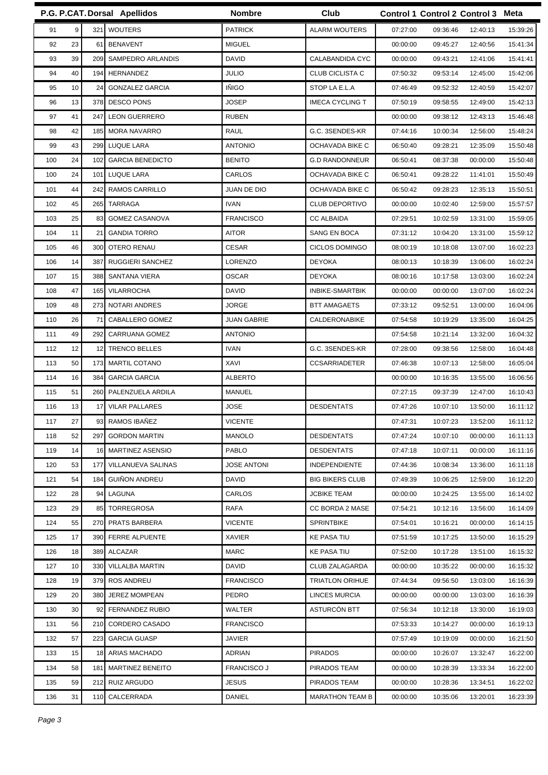|           |                 | P.G. P.CAT. Dorsal Apellidos | <b>Nombre</b>      | Club                   |          | Control 1 Control 2 Control 3 Meta |          |          |
|-----------|-----------------|------------------------------|--------------------|------------------------|----------|------------------------------------|----------|----------|
| 9<br>91   |                 | 321 WOUTERS                  | <b>PATRICK</b>     | <b>ALARM WOUTERS</b>   | 07:27:00 | 09:36:46                           | 12:40:13 | 15:39:26 |
| 23<br>92  |                 | 61 BENAVENT                  | <b>MIGUEL</b>      |                        | 00:00:00 | 09:45:27                           | 12:40:56 | 15:41:34 |
| 39<br>93  |                 | 209 SAMPEDRO ARLANDIS        | <b>DAVID</b>       | CALABANDIDA CYC        | 00:00:00 | 09:43:21                           | 12:41:06 | 15:41:41 |
| 94<br>40  | 194I            | HERNANDEZ                    | <b>JULIO</b>       | CLUB CICLISTA C        | 07:50:32 | 09:53:14                           | 12:45:00 | 15:42:06 |
| 95<br>10  | 24              | <b>GONZALEZ GARCIA</b>       | <b>INIGO</b>       | STOP LA E.L.A          | 07:46:49 | 09:52:32                           | 12:40:59 | 15:42:07 |
| 96<br>13  |                 | 378 DESCO PONS               | <b>JOSEP</b>       | <b>IMECA CYCLING T</b> | 07:50:19 | 09:58:55                           | 12:49:00 | 15:42:13 |
| 97<br>41  | 247             | <b>LEON GUERRERO</b>         | <b>RUBEN</b>       |                        | 00:00:00 | 09:38:12                           | 12:43:13 | 15:46:48 |
| 42<br>98  |                 | 185 MORA NAVARRO             | RAUL               | G.C. 3SENDES-KR        | 07:44:16 | 10:00:34                           | 12:56:00 | 15:48:24 |
| 99<br>43  |                 | 299 LUQUE LARA               | <b>ANTONIO</b>     | OCHAVADA BIKE C        | 06:50:40 | 09:28:21                           | 12:35:09 | 15:50:48 |
| 24<br>100 | 102             | <b>GARCIA BENEDICTO</b>      | <b>BENITO</b>      | <b>G.D RANDONNEUR</b>  | 06:50:41 | 08:37:38                           | 00:00:00 | 15:50:48 |
| 24<br>100 | 101             | LUQUE LARA                   | CARLOS             | OCHAVADA BIKE C        | 06:50:41 | 09:28:22                           | 11:41:01 | 15:50:49 |
| 44<br>101 | 242             | <b>RAMOS CARRILLO</b>        | <b>JUAN DE DIO</b> | OCHAVADA BIKE C        | 06:50:42 | 09:28:23                           | 12:35:13 | 15:50:51 |
| 45<br>102 |                 | 265 TARRAGA                  | <b>IVAN</b>        | <b>CLUB DEPORTIVO</b>  | 00:00:00 | 10:02:40                           | 12:59:00 | 15:57:57 |
| 25<br>103 | 83              | <b>GOMEZ CASANOVA</b>        | <b>FRANCISCO</b>   | <b>CC ALBAIDA</b>      | 07:29:51 | 10:02:59                           | 13:31:00 | 15:59:05 |
| 11<br>104 | 21              | <b>GANDIA TORRO</b>          | <b>AITOR</b>       | <b>SANG EN BOCA</b>    | 07:31:12 | 10:04:20                           | 13:31:00 | 15:59:12 |
| 46<br>105 | 300 <b>1</b>    | OTERO RENAU                  | <b>CESAR</b>       | <b>CICLOS DOMINGO</b>  | 08:00:19 | 10:18:08                           | 13:07:00 | 16:02:23 |
| 14<br>106 | 387             | RUGGIERI SANCHEZ             | <b>LORENZO</b>     | <b>DEYOKA</b>          | 08:00:13 | 10:18:39                           | 13:06:00 | 16:02:24 |
| 15<br>107 |                 | 388 SANTANA VIERA            | <b>OSCAR</b>       | <b>DEYOKA</b>          | 08:00:16 | 10:17:58                           | 13:03:00 | 16:02:24 |
| 47<br>108 | 165 <b>I</b>    | VILARROCHA                   | <b>DAVID</b>       | INBIKE-SMARTBIK        | 00:00:00 | 00:00:00                           | 13:07:00 | 16:02:24 |
| 48<br>109 | 2731            | <b>NOTARI ANDRES</b>         | <b>JORGE</b>       | <b>BTT AMAGAETS</b>    | 07:33:12 | 09:52:51                           | 13:00:00 | 16:04:06 |
| 26<br>110 | 71              | CABALLERO GOMEZ              | <b>JUAN GABRIE</b> | CALDERONABIKE          | 07:54:58 | 10:19:29                           | 13:35:00 | 16:04:25 |
| 49<br>111 | 292             | CARRUANA GOMEZ               | <b>ANTONIO</b>     |                        | 07:54:58 | 10:21:14                           | 13:32:00 | 16:04:32 |
| 12<br>112 | 12 <sub>l</sub> | <b>TRENCO BELLES</b>         | <b>IVAN</b>        | G.C. 3SENDES-KR        | 07:28:00 | 09:38:56                           | 12:58:00 | 16:04:48 |
| 50<br>113 |                 | 173 MARTIL COTANO            | XAVI               | <b>CCSARRIADETER</b>   | 07:46:38 | 10:07:13                           | 12:58:00 | 16:05:04 |
| 114<br>16 | 384             | <b>GARCIA GARCIA</b>         | <b>ALBERTO</b>     |                        | 00:00:00 | 10:16:35                           | 13:55:00 | 16:06:56 |
| 51<br>115 |                 | 260 PALENZUELA ARDILA        | <b>MANUEL</b>      |                        | 07:27:15 | 09:37:39                           | 12:47:00 | 16:10:43 |
| 13<br>116 | 17              | <b>VILAR PALLARES</b>        | <b>JOSE</b>        | <b>DESDENTATS</b>      | 07:47:26 | 10:07:10                           | 13:50:00 | 16:11:12 |
| 27<br>117 | 93              | RAMOS IBAÑEZ                 | <b>VICENTE</b>     |                        | 07:47:31 | 10:07:23                           | 13:52:00 | 16:11:12 |
| 52<br>118 |                 | 297 GORDON MARTIN            | <b>MANOLO</b>      | <b>DESDENTATS</b>      | 07:47:24 | 10:07:10                           | 00:00:00 | 16:11:13 |
| 119<br>14 |                 | 16 MARTINEZ ASENSIO          | <b>PABLO</b>       | <b>DESDENTATS</b>      | 07:47:18 | 10:07:11                           | 00:00:00 | 16:11:16 |
| 120<br>53 | 177             | VILLANUEVA SALINAS           | <b>JOSE ANTONI</b> | INDEPENDIENTE          | 07:44:36 | 10:08:34                           | 13:36:00 | 16:11:18 |
| 54<br>121 | 184I            | <b>GUIÑON ANDREU</b>         | DAVID              | <b>BIG BIKERS CLUB</b> | 07:49:39 | 10:06:25                           | 12:59:00 | 16:12:20 |
| 28<br>122 |                 | 94 LAGUNA                    | CARLOS             | <b>JCBIKE TEAM</b>     | 00:00:00 | 10:24:25                           | 13:55:00 | 16:14:02 |
| 123<br>29 | 85              | TORREGROSA                   | RAFA               | CC BORDA 2 MASE        | 07:54:21 | 10:12:16                           | 13:56:00 | 16:14:09 |
| 124<br>55 |                 | 270 PRATS BARBERA            | <b>VICENTE</b>     | SPRINTBIKE             | 07:54:01 | 10:16:21                           | 00:00:00 | 16:14:15 |
| 17<br>125 |                 | 390 FERRE ALPUENTE           | <b>XAVIER</b>      | <b>KE PASA TIU</b>     | 07:51:59 | 10:17:25                           | 13:50:00 | 16:15:29 |
| 126<br>18 |                 | 389 ALCAZAR                  | <b>MARC</b>        | <b>KE PASA TIU</b>     | 07:52:00 | 10:17:28                           | 13:51:00 | 16:15:32 |
| 127<br>10 |                 | 330 VILLALBA MARTIN          | DAVID              | CLUB ZALAGARDA         | 00:00:00 | 10:35:22                           | 00:00:00 | 16:15:32 |
| 128<br>19 |                 | 379 ROS ANDREU               | <b>FRANCISCO</b>   | <b>TRIATLON ORIHUE</b> | 07:44:34 | 09:56:50                           | 13:03:00 | 16:16:39 |
| 20<br>129 | 380I            | <b>JEREZ MOMPEAN</b>         | PEDRO              | <b>LINCES MURCIA</b>   | 00:00:00 | 00:00:00                           | 13:03:00 | 16:16:39 |
| 130<br>30 |                 | 92 FERNANDEZ RUBIO           | WALTER             | ASTURCÓN BTT           | 07:56:34 | 10:12:18                           | 13:30:00 | 16:19:03 |
| 56<br>131 |                 | 210 CORDERO CASADO           | <b>FRANCISCO</b>   |                        | 07:53:33 | 10:14:27                           | 00:00:00 | 16:19:13 |
| 132<br>57 | <b>2231</b>     | <b>GARCIA GUASP</b>          | <b>JAVIER</b>      |                        | 07:57:49 | 10:19:09                           | 00:00:00 | 16:21:50 |
| 133<br>15 |                 | 18 ARIAS MACHADO             | ADRIAN             | <b>PIRADOS</b>         | 00:00:00 | 10:26:07                           | 13:32:47 | 16:22:00 |
| 134<br>58 |                 | 181 MARTINEZ BENEITO         | <b>FRANCISCO J</b> | PIRADOS TEAM           | 00:00:00 | 10:28:39                           | 13:33:34 | 16:22:00 |
| 135<br>59 |                 | 212 RUIZ ARGUDO              | <b>JESUS</b>       | PIRADOS TEAM           | 00:00:00 | 10:28:36                           | 13:34:51 | 16:22:02 |
| 136<br>31 |                 | 110 CALCERRADA               | <b>DANIEL</b>      | <b>MARATHON TEAM B</b> | 00:00:00 | 10:35:06                           | 13:20:01 | 16:23:39 |